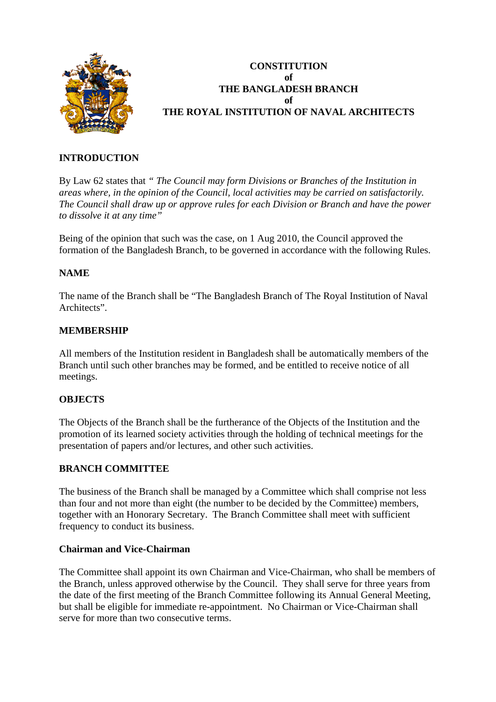

# **CONSTITUTION of THE BANGLADESH BRANCH of THE ROYAL INSTITUTION OF NAVAL ARCHITECTS**

## **INTRODUCTION**

By Law 62 states that *" The Council may form Divisions or Branches of the Institution in areas where, in the opinion of the Council, local activities may be carried on satisfactorily. The Council shall draw up or approve rules for each Division or Branch and have the power to dissolve it at any time"* 

Being of the opinion that such was the case, on 1 Aug 2010, the Council approved the formation of the Bangladesh Branch, to be governed in accordance with the following Rules.

## **NAME**

The name of the Branch shall be "The Bangladesh Branch of The Royal Institution of Naval Architects".

## **MEMBERSHIP**

All members of the Institution resident in Bangladesh shall be automatically members of the Branch until such other branches may be formed, and be entitled to receive notice of all meetings.

## **OBJECTS**

The Objects of the Branch shall be the furtherance of the Objects of the Institution and the promotion of its learned society activities through the holding of technical meetings for the presentation of papers and/or lectures, and other such activities.

#### **BRANCH COMMITTEE**

The business of the Branch shall be managed by a Committee which shall comprise not less than four and not more than eight (the number to be decided by the Committee) members, together with an Honorary Secretary. The Branch Committee shall meet with sufficient frequency to conduct its business.

#### **Chairman and Vice-Chairman**

The Committee shall appoint its own Chairman and Vice-Chairman, who shall be members of the Branch, unless approved otherwise by the Council. They shall serve for three years from the date of the first meeting of the Branch Committee following its Annual General Meeting, but shall be eligible for immediate re-appointment. No Chairman or Vice-Chairman shall serve for more than two consecutive terms.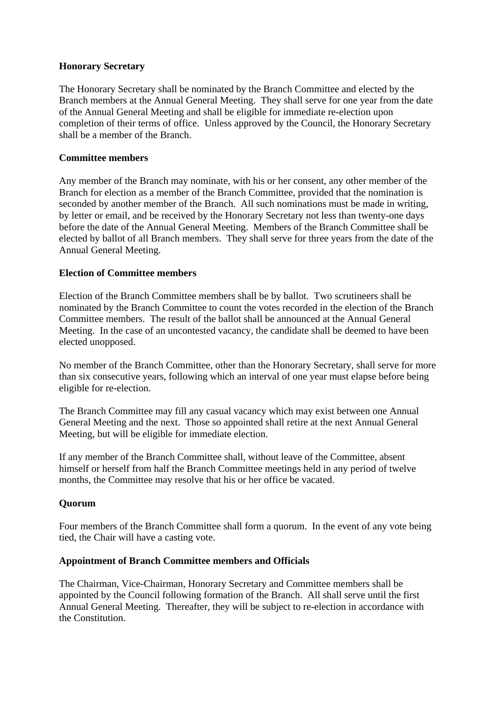## **Honorary Secretary**

The Honorary Secretary shall be nominated by the Branch Committee and elected by the Branch members at the Annual General Meeting. They shall serve for one year from the date of the Annual General Meeting and shall be eligible for immediate re-election upon completion of their terms of office. Unless approved by the Council, the Honorary Secretary shall be a member of the Branch.

## **Committee members**

Any member of the Branch may nominate, with his or her consent, any other member of the Branch for election as a member of the Branch Committee, provided that the nomination is seconded by another member of the Branch. All such nominations must be made in writing, by letter or email, and be received by the Honorary Secretary not less than twenty-one days before the date of the Annual General Meeting. Members of the Branch Committee shall be elected by ballot of all Branch members. They shall serve for three years from the date of the Annual General Meeting.

## **Election of Committee members**

Election of the Branch Committee members shall be by ballot. Two scrutineers shall be nominated by the Branch Committee to count the votes recorded in the election of the Branch Committee members. The result of the ballot shall be announced at the Annual General Meeting. In the case of an uncontested vacancy, the candidate shall be deemed to have been elected unopposed.

No member of the Branch Committee, other than the Honorary Secretary, shall serve for more than six consecutive years, following which an interval of one year must elapse before being eligible for re-election.

The Branch Committee may fill any casual vacancy which may exist between one Annual General Meeting and the next. Those so appointed shall retire at the next Annual General Meeting, but will be eligible for immediate election.

If any member of the Branch Committee shall, without leave of the Committee, absent himself or herself from half the Branch Committee meetings held in any period of twelve months, the Committee may resolve that his or her office be vacated.

## **Quorum**

Four members of the Branch Committee shall form a quorum. In the event of any vote being tied, the Chair will have a casting vote.

#### **Appointment of Branch Committee members and Officials**

The Chairman, Vice-Chairman, Honorary Secretary and Committee members shall be appointed by the Council following formation of the Branch. All shall serve until the first Annual General Meeting. Thereafter, they will be subject to re-election in accordance with the Constitution.